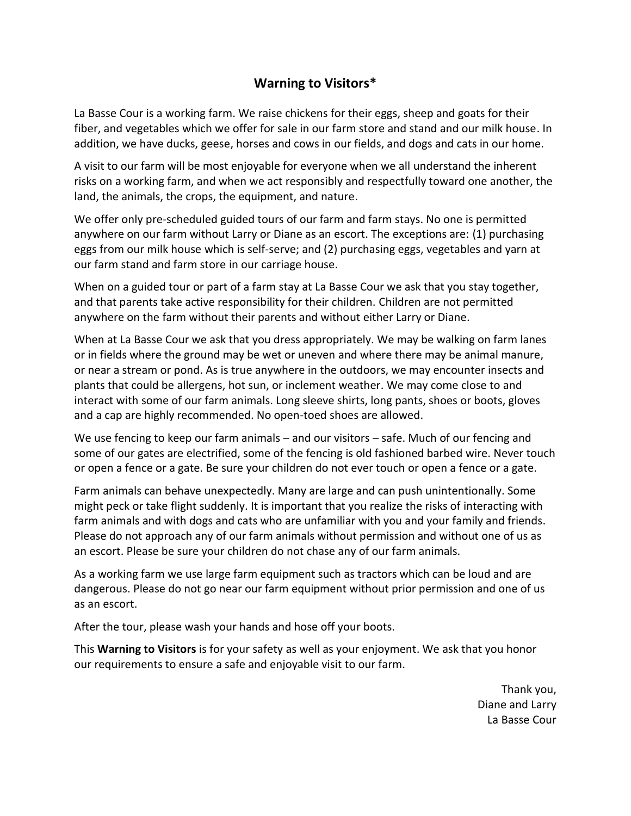## **Warning to Visitors\***

La Basse Cour is a working farm. We raise chickens for their eggs, sheep and goats for their fiber, and vegetables which we offer for sale in our farm store and stand and our milk house. In addition, we have ducks, geese, horses and cows in our fields, and dogs and cats in our home.

A visit to our farm will be most enjoyable for everyone when we all understand the inherent risks on a working farm, and when we act responsibly and respectfully toward one another, the land, the animals, the crops, the equipment, and nature.

We offer only pre-scheduled guided tours of our farm and farm stays. No one is permitted anywhere on our farm without Larry or Diane as an escort. The exceptions are: (1) purchasing eggs from our milk house which is self-serve; and (2) purchasing eggs, vegetables and yarn at our farm stand and farm store in our carriage house.

When on a guided tour or part of a farm stay at La Basse Cour we ask that you stay together, and that parents take active responsibility for their children. Children are not permitted anywhere on the farm without their parents and without either Larry or Diane.

When at La Basse Cour we ask that you dress appropriately. We may be walking on farm lanes or in fields where the ground may be wet or uneven and where there may be animal manure, or near a stream or pond. As is true anywhere in the outdoors, we may encounter insects and plants that could be allergens, hot sun, or inclement weather. We may come close to and interact with some of our farm animals. Long sleeve shirts, long pants, shoes or boots, gloves and a cap are highly recommended. No open-toed shoes are allowed.

We use fencing to keep our farm animals – and our visitors – safe. Much of our fencing and some of our gates are electrified, some of the fencing is old fashioned barbed wire. Never touch or open a fence or a gate. Be sure your children do not ever touch or open a fence or a gate.

Farm animals can behave unexpectedly. Many are large and can push unintentionally. Some might peck or take flight suddenly. It is important that you realize the risks of interacting with farm animals and with dogs and cats who are unfamiliar with you and your family and friends. Please do not approach any of our farm animals without permission and without one of us as an escort. Please be sure your children do not chase any of our farm animals.

As a working farm we use large farm equipment such as tractors which can be loud and are dangerous. Please do not go near our farm equipment without prior permission and one of us as an escort.

After the tour, please wash your hands and hose off your boots.

This **Warning to Visitors** is for your safety as well as your enjoyment. We ask that you honor our requirements to ensure a safe and enjoyable visit to our farm.

> Thank you, Diane and Larry La Basse Cour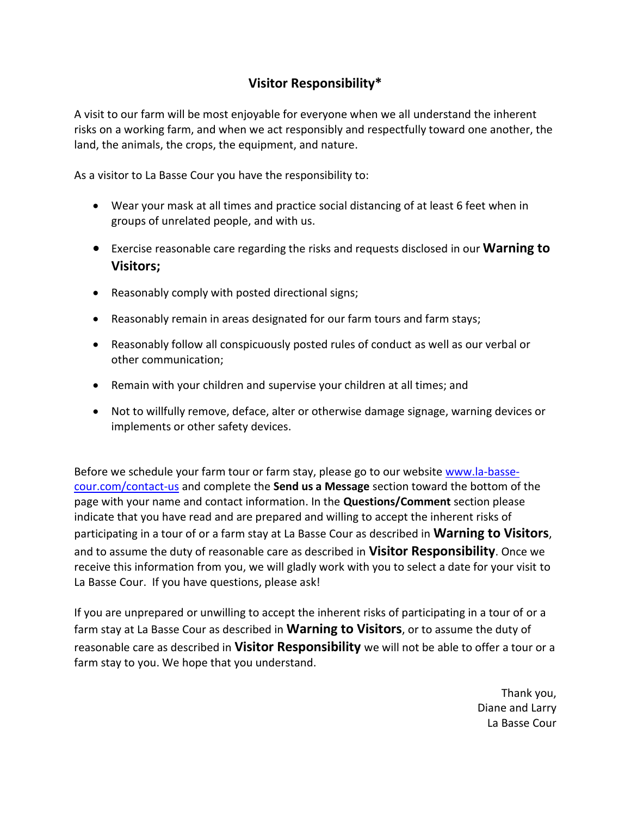## **Visitor Responsibility\***

A visit to our farm will be most enjoyable for everyone when we all understand the inherent risks on a working farm, and when we act responsibly and respectfully toward one another, the land, the animals, the crops, the equipment, and nature.

As a visitor to La Basse Cour you have the responsibility to:

- Wear your mask at all times and practice social distancing of at least 6 feet when in groups of unrelated people, and with us.
- Exercise reasonable care regarding the risks and requests disclosed in our **Warning to Visitors;**
- Reasonably comply with posted directional signs;
- Reasonably remain in areas designated for our farm tours and farm stays;
- Reasonably follow all conspicuously posted rules of conduct as well as our verbal or other communication;
- Remain with your children and supervise your children at all times; and
- Not to willfully remove, deface, alter or otherwise damage signage, warning devices or implements or other safety devices.

Before we schedule your farm tour or farm stay, please go to our website [www.la-basse](http://www.la-basse-cour.com/contact-us)[cour.com/contact-us](http://www.la-basse-cour.com/contact-us) and complete the **Send us a Message** section toward the bottom of the page with your name and contact information. In the **Questions/Comment** section please indicate that you have read and are prepared and willing to accept the inherent risks of participating in a tour of or a farm stay at La Basse Cour as described in **Warning to Visitors**, and to assume the duty of reasonable care as described in **Visitor Responsibility**. Once we receive this information from you, we will gladly work with you to select a date for your visit to La Basse Cour. If you have questions, please ask!

If you are unprepared or unwilling to accept the inherent risks of participating in a tour of or a farm stay at La Basse Cour as described in **Warning to Visitors**, or to assume the duty of reasonable care as described in **Visitor Responsibility** we will not be able to offer a tour or a farm stay to you. We hope that you understand.

> Thank you, Diane and Larry La Basse Cour